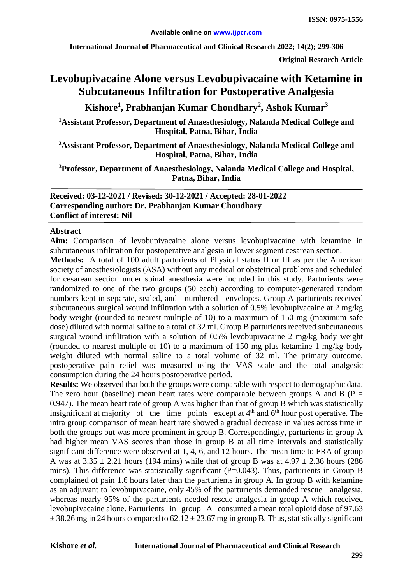**International Journal of Pharmaceutical and Clinical Research 2022; 14(2); 299-306**

**Original Research Article**

# **Levobupivacaine Alone versus Levobupivacaine with Ketamine in Subcutaneous Infiltration for Postoperative Analgesia**

**Kishore1 , Prabhanjan Kumar Choudhary<sup>2</sup> , Ashok Kumar3**

**1 Assistant Professor, Department of Anaesthesiology, Nalanda Medical College and Hospital, Patna, Bihar, India**

**2 Assistant Professor, Department of Anaesthesiology, Nalanda Medical College and Hospital, Patna, Bihar, India**

**3 Professor, Department of Anaesthesiology, Nalanda Medical College and Hospital, Patna, Bihar, India**

**Received: 03-12-2021 / Revised: 30-12-2021 / Accepted: 28-01-2022 Corresponding author: Dr. Prabhanjan Kumar Choudhary Conflict of interest: Nil**

#### **Abstract**

**Aim:** Comparison of levobupivacaine alone versus levobupivacaine with ketamine in subcutaneous infiltration for postoperative analgesia in lower segment cesarean section.

**Methods:** A total of 100 adult parturients of Physical status II or III as per the American society of anesthesiologists (ASA) without any medical or obstetrical problems and scheduled for cesarean section under spinal anesthesia were included in this study. Parturients were randomized to one of the two groups (50 each) according to computer-generated random numbers kept in separate, sealed, and numbered envelopes. Group A parturients received subcutaneous surgical wound infiltration with a solution of 0.5% levobupivacaine at 2 mg/kg body weight (rounded to nearest multiple of 10) to a maximum of 150 mg (maximum safe dose) diluted with normal saline to a total of 32 ml. Group B parturients received subcutaneous surgical wound infiltration with a solution of 0.5% levobupivacaine 2 mg/kg body weight (rounded to nearest multiple of 10) to a maximum of 150 mg plus ketamine 1 mg/kg body weight diluted with normal saline to a total volume of 32 ml. The primary outcome, postoperative pain relief was measured using the VAS scale and the total analgesic consumption during the 24 hours postoperative period.

**Results:** We observed that both the groups were comparable with respect to demographic data. The zero hour (baseline) mean heart rates were comparable between groups A and B ( $P =$ 0.947). The mean heart rate of group A was higher than that of group B which was statistically insignificant at majority of the time points except at  $4<sup>th</sup>$  and  $6<sup>th</sup>$  hour post operative. The intra group comparison of mean heart rate showed a gradual decrease in values across time in both the groups but was more prominent in group B. Correspondingly, parturients in group A had higher mean VAS scores than those in group B at all time intervals and statistically significant difference were observed at 1, 4, 6, and 12 hours. The mean time to FRA of group A was at  $3.35 \pm 2.21$  hours (194 mins) while that of group B was at  $4.97 \pm 2.36$  hours (286 mins). This difference was statistically significant (P=0.043). Thus, parturients in Group B complained of pain 1.6 hours later than the parturients in group A. In group B with ketamine as an adjuvant to levobupivacaine, only 45% of the parturients demanded rescue analgesia, whereas nearly 95% of the parturients needed rescue analgesia in group A which received levobupivacaine alone. Parturients in group A consumed a mean total opioid dose of 97.63  $\pm$  38.26 mg in 24 hours compared to 62.12  $\pm$  23.67 mg in group B. Thus, statistically significant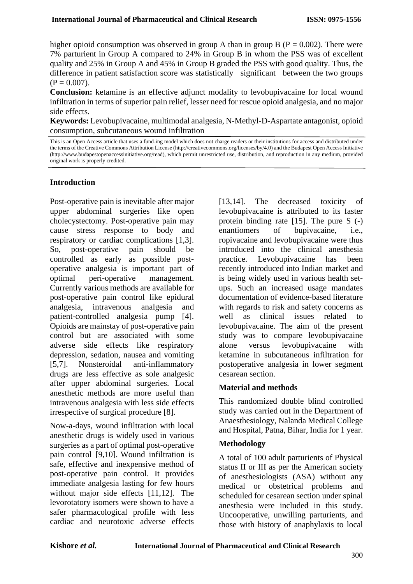higher opioid consumption was observed in group A than in group B ( $P = 0.002$ ). There were 7% parturient in Group A compared to 24% in Group B in whom the PSS was of excellent quality and 25% in Group A and 45% in Group B graded the PSS with good quality. Thus, the difference in patient satisfaction score was statistically significant between the two groups  $(P = 0.007)$ .

**Conclusion:** ketamine is an effective adjunct modality to levobupivacaine for local wound infiltration in terms of superior pain relief, lesser need for rescue opioid analgesia, and no major side effects.

**Keywords:** Levobupivacaine, multimodal analgesia, N-Methyl-D-Aspartate antagonist, opioid consumption, subcutaneous wound infiltration

#### **Introduction**

Post-operative pain is inevitable after major upper abdominal surgeries like open cholecystectomy. Post-operative pain may cause stress response to body and respiratory or cardiac complications [1,3]. So, post-operative pain should be controlled as early as possible postoperative analgesia is important part of optimal peri-operative management. Currently various methods are available for post-operative pain control like epidural analgesia, intravenous analgesia and patient-controlled analgesia pump [4]. Opioids are mainstay of post-operative pain control but are associated with some adverse side effects like respiratory depression, sedation, nausea and vomiting [5,7]. Nonsteroidal anti-inflammatory drugs are less effective as sole analgesic after upper abdominal surgeries. Local anesthetic methods are more useful than intravenous analgesia with less side effects irrespective of surgical procedure [8].

Now-a-days, wound infiltration with local anesthetic drugs is widely used in various surgeries as a part of optimal post-operative pain control [9,10]. Wound infiltration is safe, effective and inexpensive method of post-operative pain control. It provides immediate analgesia lasting for few hours without major side effects [11,12]. The levorotatory isomers were shown to have a safer pharmacological profile with less cardiac and neurotoxic adverse effects

[13,14]. The decreased toxicity of levobupivacaine is attributed to its faster protein binding rate [15]. The pure S (-) enantiomers of bupivacaine, i.e., ropivacaine and levobupivacaine were thus introduced into the clinical anesthesia practice. Levobupivacaine has been recently introduced into Indian market and is being widely used in various health setups. Such an increased usage mandates documentation of evidence-based literature with regards to risk and safety concerns as well as clinical issues related to levobupivacaine. The aim of the present study was to compare levobupivacaine alone versus levobupivacaine with ketamine in subcutaneous infiltration for postoperative analgesia in lower segment cesarean section.

#### **Material and methods**

This randomized double blind controlled study was carried out in the Department of Anaesthesiology, Nalanda Medical College and Hospital, Patna, Bihar, India for 1 year.

#### **Methodology**

A total of 100 adult parturients of Physical status II or III as per the American society of anesthesiologists (ASA) without any medical or obstetrical problems and scheduled for cesarean section under spinal anesthesia were included in this study. Uncooperative, unwilling parturients, and those with history of anaphylaxis to local

This is an Open Access article that uses a fund-ing model which does not charge readers or their institutions for access and distributed under the terms of the Creative Commons Attribution License (http://creativecommons.org/licenses/by/4.0) and the Budapest Open Access Initiative (http://www.budapestopenaccessinitiative.org/read), which permit unrestricted use, distribution, and reproduction in any medium, provided original work is properly credited.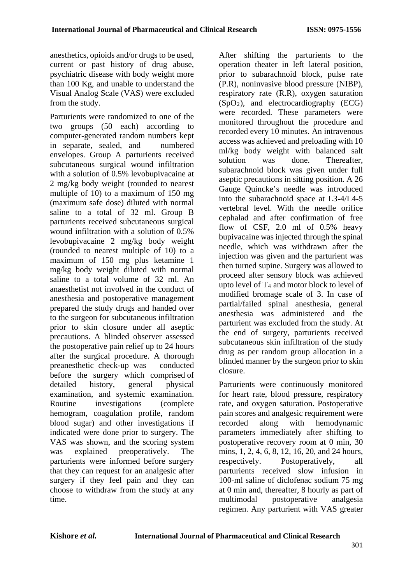anesthetics, opioids and/or drugs to be used, current or past history of drug abuse, psychiatric disease with body weight more than 100 Kg, and unable to understand the Visual Analog Scale (VAS) were excluded from the study.

Parturients were randomized to one of the two groups (50 each) according to computer‑generated random numbers kept in separate, sealed, and numbered envelopes. Group A parturients received subcutaneous surgical wound infiltration with a solution of 0.5% levobupivacaine at 2 mg/kg body weight (rounded to nearest multiple of 10) to a maximum of 150 mg (maximum safe dose) diluted with normal saline to a total of 32 ml. Group B parturients received subcutaneous surgical wound infiltration with a solution of 0.5% levobupivacaine 2 mg/kg body weight (rounded to nearest multiple of 10) to a maximum of 150 mg plus ketamine 1 mg/kg body weight diluted with normal saline to a total volume of 32 ml. An anaesthetist not involved in the conduct of anesthesia and postoperative management prepared the study drugs and handed over to the surgeon for subcutaneous infiltration prior to skin closure under all aseptic precautions. A blinded observer assessed the postoperative pain relief up to 24 hours after the surgical procedure. A thorough preanesthetic check-up was conducted before the surgery which comprised of detailed history, general physical examination, and systemic examination. Routine investigations (complete hemogram, coagulation profile, random blood sugar) and other investigations if indicated were done prior to surgery. The VAS was shown, and the scoring system was explained preoperatively. The parturients were informed before surgery that they can request for an analgesic after surgery if they feel pain and they can choose to withdraw from the study at any time.

After shifting the parturients to the operation theater in left lateral position, prior to subarachnoid block, pulse rate (P.R), noninvasive blood pressure (NIBP), respiratory rate (R.R), oxygen saturation  $(SpO<sub>2</sub>)$ , and electrocardiography  $(ECG)$ were recorded. These parameters were monitored throughout the procedure and recorded every 10 minutes. An intravenous access was achieved and preloading with 10 ml/kg body weight with balanced salt solution was done. Thereafter, subarachnoid block was given under full aseptic precautions in sitting position. A 26 Gauge Quincke's needle was introduced into the subarachnoid space at L3‑4/L4‑5 vertebral level. With the needle orifice cephalad and after confirmation of free flow of CSF, 2.0 ml of 0.5% heavy bupivacaine was injected through the spinal needle, which was withdrawn after the injection was given and the parturient was then turned supine. Surgery was allowed to proceed after sensory block was achieved upto level of  $T_4$  and motor block to level of modified bromage scale of 3. In case of partial/failed spinal anesthesia, general anesthesia was administered and the parturient was excluded from the study. At the end of surgery, parturients received subcutaneous skin infiltration of the study drug as per random group allocation in a blinded manner by the surgeon prior to skin closure.

Parturients were continuously monitored for heart rate, blood pressure, respiratory rate, and oxygen saturation. Postoperative pain scores and analgesic requirement were recorded along with hemodynamic parameters immediately after shifting to postoperative recovery room at 0 min, 30 mins, 1, 2, 4, 6, 8, 12, 16, 20, and 24 hours, respectively. Postoperatively, all parturients received slow infusion in 100‑ml saline of diclofenac sodium 75 mg at 0 min and, thereafter, 8 hourly as part of multimodal postoperative analgesia regimen. Any parturient with VAS greater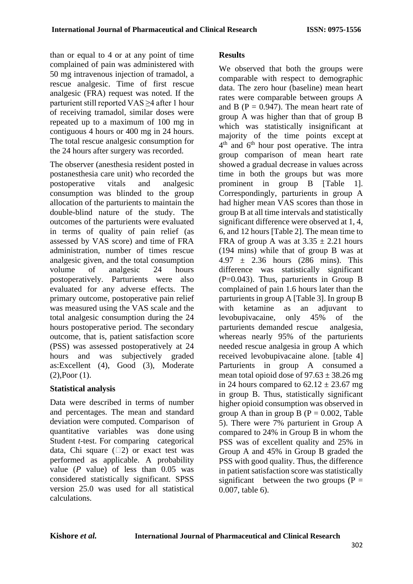than or equal to 4 or at any point of time complained of pain was administered with 50 mg intravenous injection of tramadol, a rescue analgesic. Time of first rescue analgesic (FRA) request was noted. If the parturient still reported VAS ≥4 after 1 hour of receiving tramadol, similar doses were repeated up to a maximum of 100 mg in contiguous 4 hours or 400 mg in 24 hours. The total rescue analgesic consumption for the 24 hours after surgery was recorded.

The observer (anesthesia resident posted in postanesthesia care unit) who recorded the postoperative vitals and analgesic consumption was blinded to the group allocation of the parturients to maintain the double-blind nature of the study. The outcomes of the parturients were evaluated in terms of quality of pain relief (as assessed by VAS score) and time of FRA administration, number of times rescue analgesic given, and the total consumption volume of analgesic 24 hours postoperatively. Parturients were also evaluated for any adverse effects. The primary outcome, postoperative pain relief was measured using the VAS scale and the total analgesic consumption during the 24 hours postoperative period. The secondary outcome, that is, patient satisfaction score (PSS) was assessed postoperatively at 24 hours and was subjectively graded as:Excellent (4), Good (3), Moderate (2),Poor (1).

## **Statistical analysis**

Data were described in terms of number and percentages. The mean and standard deviation were computed. Comparison of quantitative variables was done using Student *t*-test. For comparing categorical data, Chi square  $(2)$  or exact test was performed as applicable. A probability value (*P* value) of less than 0.05 was considered statistically significant. SPSS version 25.0 was used for all statistical calculations.

# **Results**

We observed that both the groups were comparable with respect to demographic data. The zero hour (baseline) mean heart rates were comparable between groups A and B ( $P = 0.947$ ). The mean heart rate of group A was higher than that of group B which was statistically insignificant at majority of the time points except at 4<sup>th</sup> and 6<sup>th</sup> hour post operative. The intra group comparison of mean heart rate showed a gradual decrease in values across time in both the groups but was more prominent in group B [Table 1]. Correspondingly, parturients in group A had higher mean VAS scores than those in group B at all time intervals and statistically significant difference were observed at 1, 4, 6, and 12 hours [Table 2]. The mean time to FRA of group A was at  $3.35 \pm 2.21$  hours (194 mins) while that of group B was at  $4.97 \pm 2.36$  hours (286 mins). This difference was statistically significant (P=0.043). Thus, parturients in Group B complained of pain 1.6 hours later than the parturients in group A [Table 3]. In group B with ketamine as an adjuvant to levobupivacaine, only 45% of the parturients demanded rescue analgesia, whereas nearly 95% of the parturients needed rescue analgesia in group A which received levobupivacaine alone. [table 4] Parturients in group A consumed a mean total opioid dose of  $97.63 \pm 38.26$  mg in 24 hours compared to  $62.12 \pm 23.67$  mg in group B. Thus, statistically significant higher opioid consumption was observed in group A than in group B ( $P = 0.002$ , Table 5). There were 7% parturient in Group A compared to 24% in Group B in whom the PSS was of excellent quality and 25% in Group A and 45% in Group B graded the PSS with good quality. Thus, the difference in patient satisfaction score was statistically significant between the two groups  $(P =$ 0.007, table 6).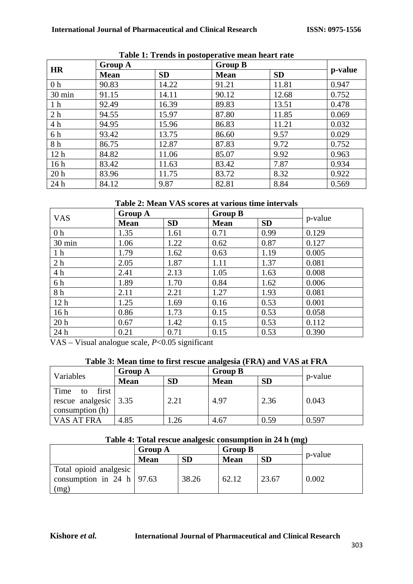| <b>HR</b>       | <b>Group A</b> |           | <b>Group B</b> |           |         |
|-----------------|----------------|-----------|----------------|-----------|---------|
|                 | <b>Mean</b>    | <b>SD</b> | <b>Mean</b>    | <b>SD</b> | p-value |
| 0 <sub>h</sub>  | 90.83          | 14.22     | 91.21          | 11.81     | 0.947   |
| 30 min          | 91.15          | 14.11     | 90.12          | 12.68     | 0.752   |
| 1 <sub>h</sub>  | 92.49          | 16.39     | 89.83          | 13.51     | 0.478   |
| 2 <sub>h</sub>  | 94.55          | 15.97     | 87.80          | 11.85     | 0.069   |
| 4 h             | 94.95          | 15.96     | 86.83          | 11.21     | 0.032   |
| 6 h             | 93.42          | 13.75     | 86.60          | 9.57      | 0.029   |
| 8h              | 86.75          | 12.87     | 87.83          | 9.72      | 0.752   |
| 12 <sub>h</sub> | 84.82          | 11.06     | 85.07          | 9.92      | 0.963   |
| 16h             | 83.42          | 11.63     | 83.42          | 7.87      | 0.934   |
| 20 <sub>h</sub> | 83.96          | 11.75     | 83.72          | 8.32      | 0.922   |
| 24 h            | 84.12          | 9.87      | 82.81          | 8.84      | 0.569   |

## **Table 1: Trends in postoperative mean heart rate**

**Table 2: Mean VAS scores at various time intervals**

| <b>VAS</b>      | <b>Group A</b> |           | <b>Group B</b> |           |         |
|-----------------|----------------|-----------|----------------|-----------|---------|
|                 | <b>Mean</b>    | <b>SD</b> | <b>Mean</b>    | <b>SD</b> | p-value |
| 0 <sub>h</sub>  | 1.35           | 1.61      | 0.71           | 0.99      | 0.129   |
| 30 min          | 1.06           | 1.22      | 0.62           | 0.87      | 0.127   |
| 1 <sub>h</sub>  | 1.79           | 1.62      | 0.63           | 1.19      | 0.005   |
| 2 <sub>h</sub>  | 2.05           | 1.87      | 1.11           | 1.37      | 0.081   |
| 4h              | 2.41           | 2.13      | 1.05           | 1.63      | 0.008   |
| 6 h             | 1.89           | 1.70      | 0.84           | 1.62      | 0.006   |
| 8 h             | 2.11           | 2.21      | 1.27           | 1.93      | 0.081   |
| 12 <sub>h</sub> | 1.25           | 1.69      | 0.16           | 0.53      | 0.001   |
| 16h             | 0.86           | 1.73      | 0.15           | 0.53      | 0.058   |
| 20 <sub>h</sub> | 0.67           | 1.42      | 0.15           | 0.53      | 0.112   |
| 24 h            | 0.21           | 0.71      | 0.15           | 0.53      | 0.390   |

VAS – Visual analogue scale, *P*<0.05 significant

# **Table 3: Mean time to first rescue analgesia (FRA) and VAS at FRA**

| Variables                                                                       | <b>Group A</b> |           | <b>Group B</b> |           |         |  |
|---------------------------------------------------------------------------------|----------------|-----------|----------------|-----------|---------|--|
|                                                                                 | <b>Mean</b>    | <b>SD</b> | <b>Mean</b>    | <b>SD</b> | p-value |  |
| Time<br>first<br>to<br>rescue analgesic $\vert 3.35 \rangle$<br>consumption (h) |                | 2.21      | 4.97           | 2.36      | 0.043   |  |
| VAS AT FRA                                                                      | 4.85           | 26        | 4.67           | 0.59      | 0.597   |  |

#### **Table 4: Total rescue analgesic consumption in 24 h (mg)**

|                                                         | <b>Group A</b> |           | <b>Group B</b> |           |         |
|---------------------------------------------------------|----------------|-----------|----------------|-----------|---------|
|                                                         | <b>Mean</b>    | <b>SD</b> | <b>Mean</b>    | <b>SD</b> | p-value |
| Total opioid analgesic<br>consumption in 24 h   $97.63$ |                | 38.26     | 62.12          | 23.67     | 0.002   |
| (mg)                                                    |                |           |                |           |         |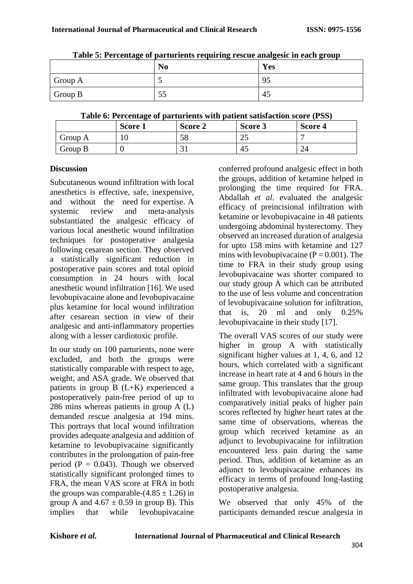|         | Table 5. I creditage or partirients requiring reseat analgesic in each group<br>N <sub>0</sub> | Yes |
|---------|------------------------------------------------------------------------------------------------|-----|
| Group A |                                                                                                | 95  |
| Group B | 55                                                                                             | -45 |

**Table 5: Percentage of parturients requiring rescue analgesic in each group**

|  |  | Table 6: Percentage of parturients with patient satisfaction score (PSS) |  |
|--|--|--------------------------------------------------------------------------|--|
|--|--|--------------------------------------------------------------------------|--|

|         | Score 1 | Score 2 | Score 3 | Score 4 |
|---------|---------|---------|---------|---------|
| Group A | ιv      | IJΟ     | ل کے    |         |
| Group B |         | ◡       | -43     | 24      |

### **Discussion**

Subcutaneous wound infiltration with local anesthetics is effective, safe, inexpensive, and without the need for expertise. A systemic review and meta-analysis substantiated the analgesic efficacy of various local anesthetic wound infiltration techniques for postoperative analgesia following cesarean section. They observed a statistically significant reduction in postoperative pain scores and total opioid consumption in 24 hours with local anesthetic wound infiltration [16]. We used levobupivacaine alone and levobupivacaine plus ketamine for local wound infiltration after cesarean section in view of their analgesic and anti-inflammatory properties along with a lesser cardiotoxic profile.

In our study on 100 parturients, none were excluded, and both the groups were statistically comparable with respect to age, weight, and ASA grade. We observed that patients in group B (L+K) experienced a postoperatively pain‑free period of up to 286 mins whereas patients in group A (L) demanded rescue analgesia at 194 mins. This portrays that local wound infiltration provides adequate analgesia and addition of ketamine to levobupivacaine significantly contributes in the prolongation of pain-free period ( $P = 0.043$ ). Though we observed statistically significant prolonged times to FRA, the mean VAS score at FRA in both the groups was comparable- $(4.85 \pm 1.26)$  in group A and  $4.67 \pm 0.59$  in group B). This implies that while levobupivacaine

conferred profound analgesic effect in both the groups, addition of ketamine helped in prolonging the time required for FRA. Abdallah *et al*. evaluated the analgesic efficacy of preincisional infiltration with ketamine or levobupivacaine in 48 patients undergoing abdominal hysterectomy. They observed an increased duration of analgesia for upto 158 mins with ketamine and 127 mins with levobupivacaine ( $P = 0.001$ ). The time to FRA in their study group using levobupivacaine was shorter compared to our study group A which can be attributed to the use of less volume and concentration of levobupivacaine solution for infiltration, that is, 20 ml and only 0.25% levobupivacaine in their study [17].

The overall VAS scores of our study were higher in group A with statistically significant higher values at 1, 4, 6, and 12 hours, which correlated with a significant increase in heart rate at 4 and 6 hours in the same group. This translates that the group infiltrated with levobupivacaine alone had comparatively initial peaks of higher pain scores reflected by higher heart rates at the same time of observations, whereas the group which received ketamine as an adjunct to levobupivacaine for infiltration encountered less pain during the same period. Thus, addition of ketamine as an adjunct to levobupivacaine enhances its efficacy in terms of profound long‑lasting postoperative analgesia.

We observed that only 45% of the participants demanded rescue analgesia in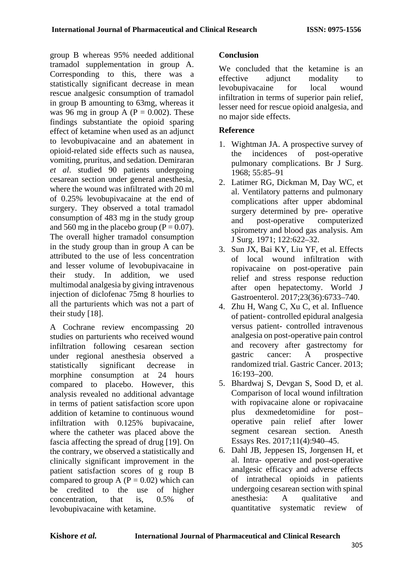group B whereas 95% needed additional tramadol supplementation in group A. Corresponding to this, there was a statistically significant decrease in mean rescue analgesic consumption of tramadol in group B amounting to 63mg, whereas it was 96 mg in group A ( $P = 0.002$ ). These findings substantiate the opioid sparing effect of ketamine when used as an adjunct to levobupivacaine and an abatement in opioid‑related side effects such as nausea, vomiting, pruritus, and sedation. Demiraran *et al*. studied 90 patients undergoing cesarean section under general anesthesia, where the wound was infiltrated with 20 ml of 0.25% levobupivacaine at the end of surgery. They observed a total tramadol consumption of 483 mg in the study group and 560 mg in the placebo group ( $P = 0.07$ ). The overall higher tramadol consumption in the study group than in group A can be attributed to the use of less concentration and lesser volume of levobupivacaine in their study. In addition, we used multimodal analgesia by giving intravenous injection of diclofenac 75mg 8 hourlies to all the parturients which was not a part of their study [18].

A Cochrane review encompassing 20 studies on parturients who received wound infiltration following cesarean section under regional anesthesia observed a statistically significant decrease in morphine consumption at 24 hours compared to placebo. However, this analysis revealed no additional advantage in terms of patient satisfaction score upon addition of ketamine to continuous wound infiltration with 0.125% bupivacaine, where the catheter was placed above the fascia affecting the spread of drug [19]. On the contrary, we observed a statistically and clinically significant improvement in the patient satisfaction scores of g roup B compared to group A ( $P = 0.02$ ) which can be credited to the use of higher concentration, that is, 0.5% of levobupivacaine with ketamine.

# **Conclusion**

We concluded that the ketamine is an effective adjunct modality to levobupivacaine for local wound infiltration in terms of superior pain relief, lesser need for rescue opioid analgesia, and no major side effects.

## **Reference**

- 1. Wightman JA. A prospective survey of the incidences of post-operative pulmonary complications. Br J Surg. 1968; 55:85–91
- 2. Latimer RG, Dickman M, Day WC, et al. Ventilatory patterns and pulmonary complications after upper abdominal surgery determined by pre- operative and post-operative computerized spirometry and blood gas analysis. Am J Surg. 1971; 122:622–32.
- 3. Sun JX, Bai KY, Liu YF, et al. Effects of local wound infiltration with ropivacaine on post-operative pain relief and stress response reduction after open hepatectomy. World J Gastroenterol. 2017;23(36):6733–740.
- 4. Zhu H, Wang C, Xu C, et al. Influence of patient- controlled epidural analgesia versus patient- controlled intravenous analgesia on post-operative pain control and recovery after gastrectomy for gastric cancer: A prospective randomized trial. Gastric Cancer. 2013; 16:193–200.
- 5. Bhardwaj S, Devgan S, Sood D, et al. Comparison of local wound infiltration with ropivacaine alone or ropivacaine plus dexmedetomidine for post– operative pain relief after lower segment cesarean section. Anesth Essays Res. 2017;11(4):940–45.
- 6. Dahl JB, Jeppesen IS, Jorgensen H, et al. Intra- operative and post-operative analgesic efficacy and adverse effects of intrathecal opioids in patients undergoing cesarean section with spinal anesthesia: A qualitative and quantitative systematic review of